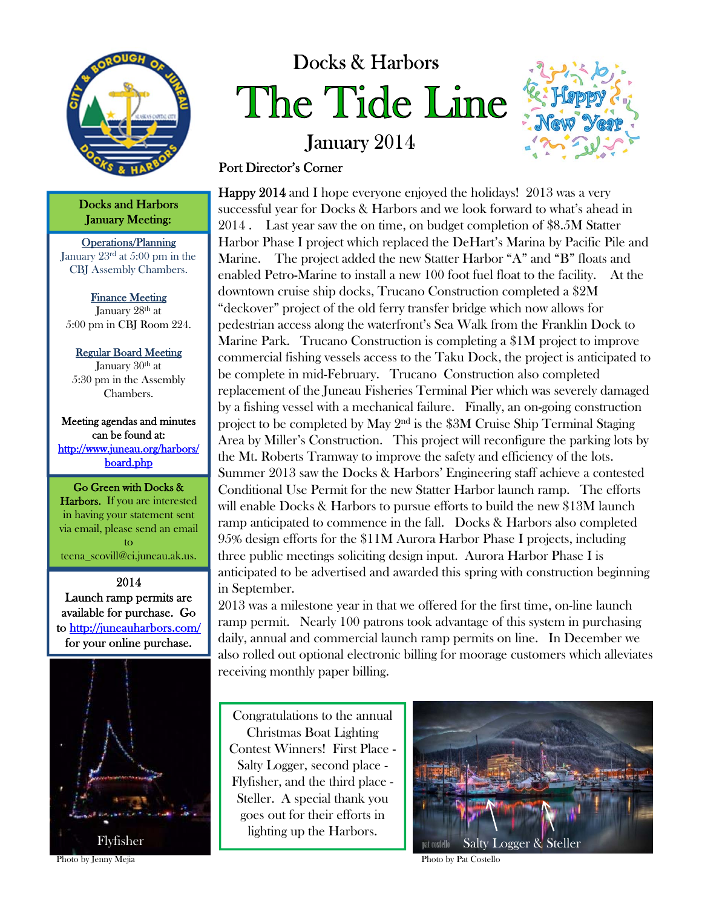

Docks and Harbors January Meeting:

Operations/Planning January 23rd at 5:00 pm in the CBJ Assembly Chambers.

Finance Meeting January 28<sup>th</sup> at 5:00 pm in CBJ Room 224.

Regular Board Meeting January  $30<sup>th</sup>$  at 5:30 pm in the Assembly Chambers.

Meeting agendas and minutes can be found at: http://www.juneau.org/harbors/ board.php

Go Green with Docks & Harbors. If you are interested in having your statement sent via email, please send an email to teena\_scovill@ci.juneau.ak.us.

2014 Launch ramp permits are available for purchase. Go to http://juneauharbors.com/ for your online purchase.



# Docks & Harbors The Tide Line

January 2014



## Port Director's Corner

Happy 2014 and I hope everyone enjoyed the holidays! 2013 was a very successful year for Docks & Harbors and we look forward to what's ahead in 2014 . Last year saw the on time, on budget completion of \$8.5M Statter Harbor Phase I project which replaced the DeHart's Marina by Pacific Pile and Marine. The project added the new Statter Harbor "A" and "B" floats and enabled Petro-Marine to install a new 100 foot fuel float to the facility. At the downtown cruise ship docks, Trucano Construction completed a \$2M "deckover" project of the old ferry transfer bridge which now allows for pedestrian access along the waterfront's Sea Walk from the Franklin Dock to Marine Park. Trucano Construction is completing a \$1M project to improve commercial fishing vessels access to the Taku Dock, the project is anticipated to be complete in mid-February. Trucano Construction also completed replacement of the Juneau Fisheries Terminal Pier which was severely damaged by a fishing vessel with a mechanical failure. Finally, an on-going construction project to be completed by May  $2<sup>nd</sup>$  is the \$3M Cruise Ship Terminal Staging Area by Miller's Construction. This project will reconfigure the parking lots by the Mt. Roberts Tramway to improve the safety and efficiency of the lots. Summer 2013 saw the Docks & Harbors' Engineering staff achieve a contested Conditional Use Permit for the new Statter Harbor launch ramp. The efforts will enable Docks & Harbors to pursue efforts to build the new \$13M launch ramp anticipated to commence in the fall. Docks & Harbors also completed 95% design efforts for the \$11M Aurora Harbor Phase I projects, including three public meetings soliciting design input. Aurora Harbor Phase I is anticipated to be advertised and awarded this spring with construction beginning in September.

2013 was a milestone year in that we offered for the first time, on-line launch ramp permit. Nearly 100 patrons took advantage of this system in purchasing daily, annual and commercial launch ramp permits on line. In December we also rolled out optional electronic billing for moorage customers which alleviates receiving monthly paper billing.

Congratulations to the annual Christmas Boat Lighting Contest Winners! First Place - Salty Logger, second place - Flyfisher, and the third place - Steller. A special thank you goes out for their efforts in lighting up the Harbors.



Photo by Jenny Mejia Photo by Pat Costello